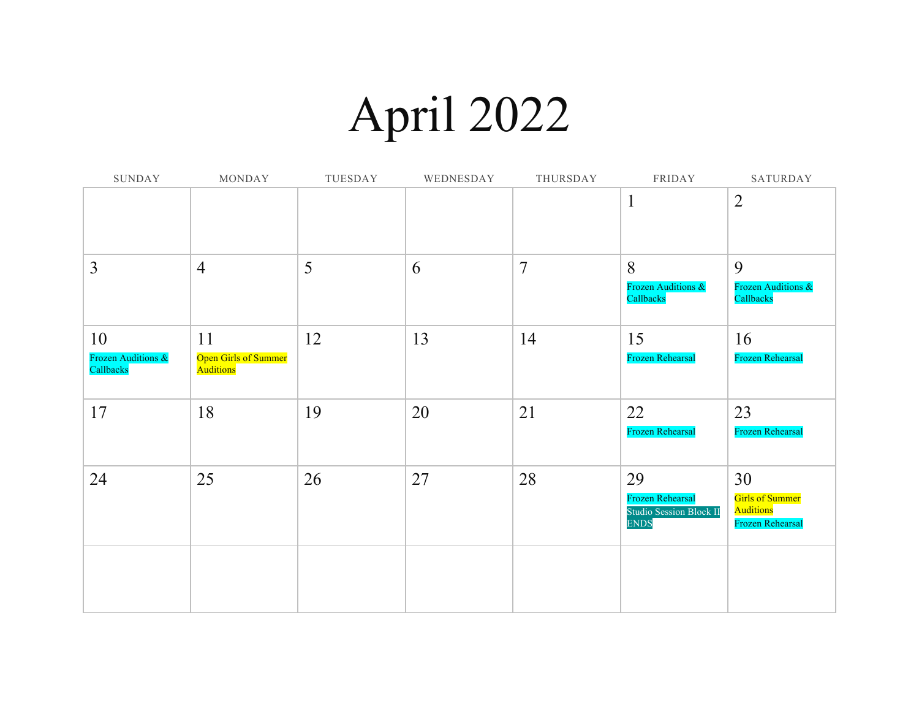## April 2022

| SUNDAY                          | MONDAY                                   | TUESDAY | WEDNESDAY | THURSDAY       | FRIDAY                                             | SATURDAY                            |
|---------------------------------|------------------------------------------|---------|-----------|----------------|----------------------------------------------------|-------------------------------------|
|                                 |                                          |         |           |                | $\mathbf{1}$                                       | $\overline{2}$                      |
|                                 |                                          |         |           |                |                                                    |                                     |
| $\overline{3}$                  | $\overline{4}$                           | 5       | 6         | $\overline{7}$ | 8<br>Frozen Auditions &                            | 9<br>Frozen Auditions &             |
|                                 |                                          |         |           |                | Callbacks                                          | Callbacks                           |
| 10                              | 11                                       | 12      | 13        | 14             | 15                                                 | 16                                  |
| Frozen Auditions &<br>Callbacks | <b>Open Girls of Summer</b><br>Auditions |         |           |                | Frozen Rehearsal                                   | Frozen Rehearsal                    |
| 17                              | 18                                       | 19      | 20        | 21             | 22                                                 | 23                                  |
|                                 |                                          |         |           |                | <b>Frozen Rehearsal</b>                            | Frozen Rehearsal                    |
| 24                              | 25                                       | 26      | 27        | 28             | 29                                                 | 30                                  |
|                                 |                                          |         |           |                | Frozen Rehearsal<br><b>Studio Session Block II</b> | <b>Girls of Summer</b><br>Auditions |
|                                 |                                          |         |           |                | <b>ENDS</b>                                        | Frozen Rehearsal                    |
|                                 |                                          |         |           |                |                                                    |                                     |
|                                 |                                          |         |           |                |                                                    |                                     |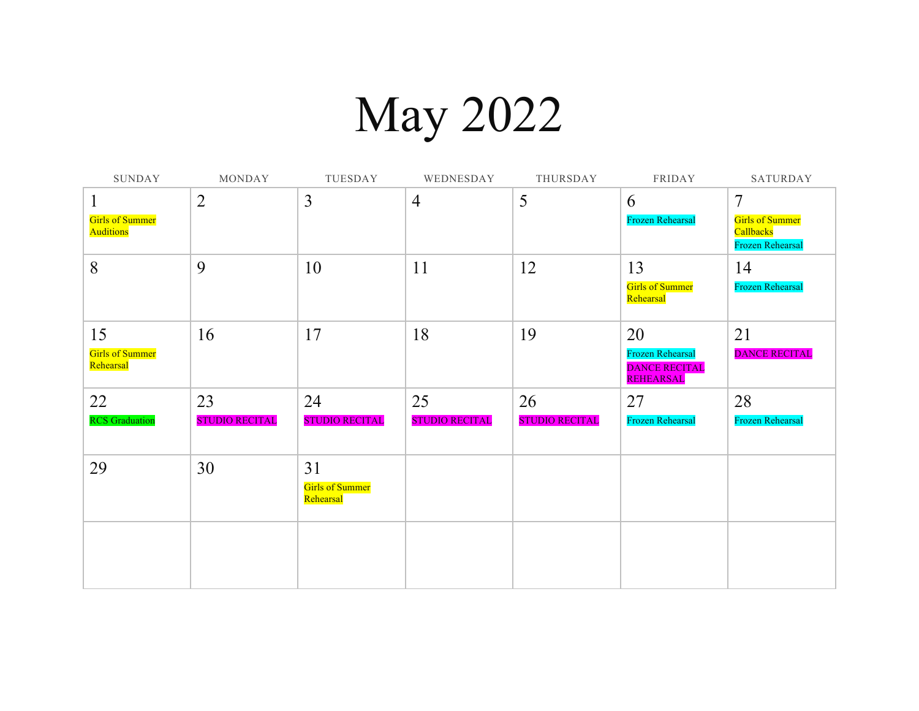## May 2022

| SUNDAY                                          | MONDAY                      | TUESDAY                                   | WEDNESDAY                   | THURSDAY                    | FRIDAY                                                             | SATURDAY                                                     |
|-------------------------------------------------|-----------------------------|-------------------------------------------|-----------------------------|-----------------------------|--------------------------------------------------------------------|--------------------------------------------------------------|
| 1<br><b>Girls of Summer</b><br><b>Auditions</b> | $\overline{2}$              | $\overline{3}$                            | $\overline{4}$              | 5                           | 6<br><b>Frozen Rehearsal</b>                                       | 7<br><b>Girls of Summer</b><br>Callbacks<br>Frozen Rehearsal |
| 8                                               | 9                           | 10                                        | 11                          | 12                          | 13<br><b>Girls of Summer</b><br>Rehearsal                          | 14<br><b>Frozen Rehearsal</b>                                |
| 15<br><b>Girls of Summer</b><br>Rehearsal       | 16                          | 17                                        | 18                          | 19                          | 20<br><b>Frozen Rehearsal</b><br><b>DANCE RECITAL</b><br>REHEARSAL | 21<br><b>DANCE RECITAL</b>                                   |
| 22<br><b>RCS</b> Graduation                     | 23<br><b>STUDIO RECITAL</b> | 24<br><b>STUDIO RECITAL</b>               | 25<br><b>STUDIO RECITAL</b> | 26<br><b>STUDIO RECITAL</b> | 27<br><b>Frozen Rehearsal</b>                                      | 28<br><b>Frozen Rehearsal</b>                                |
| 29                                              | 30                          | 31<br><b>Girls of Summer</b><br>Rehearsal |                             |                             |                                                                    |                                                              |
|                                                 |                             |                                           |                             |                             |                                                                    |                                                              |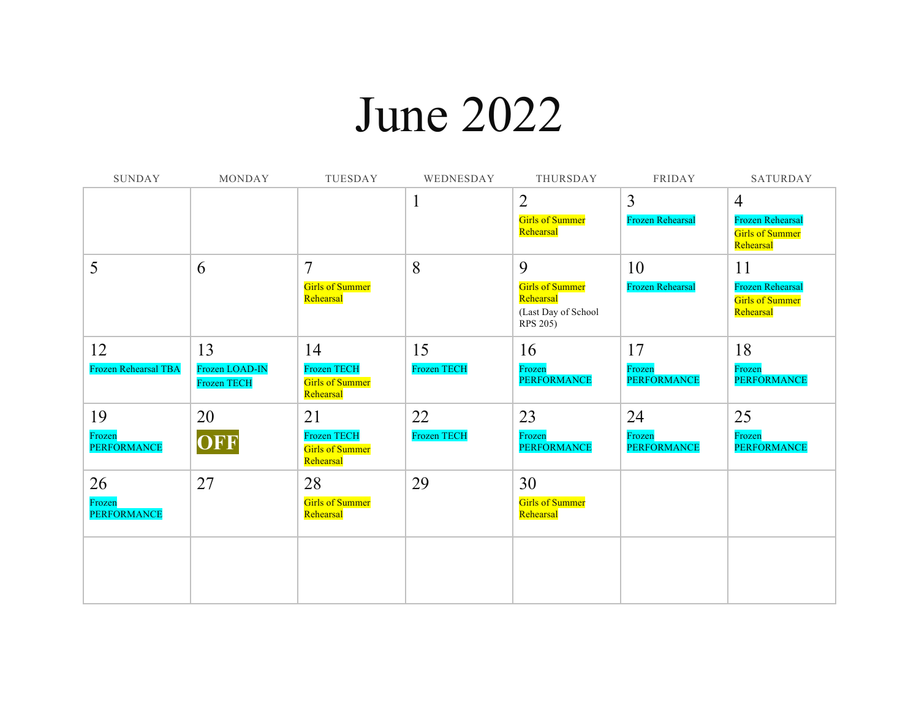## June 2022

| <b>SUNDAY</b>                | <b>MONDAY</b>                        | TUESDAY                                                   | WEDNESDAY          | THURSDAY                                                               | <b>FRIDAY</b>                | <b>SATURDAY</b>                                                |
|------------------------------|--------------------------------------|-----------------------------------------------------------|--------------------|------------------------------------------------------------------------|------------------------------|----------------------------------------------------------------|
|                              |                                      |                                                           | 1                  | $\overline{2}$                                                         | $\overline{3}$               | $\overline{4}$                                                 |
|                              |                                      |                                                           |                    | <b>Girls of Summer</b><br>Rehearsal                                    | <b>Frozen Rehearsal</b>      | <b>Frozen Rehearsal</b><br><b>Girls of Summer</b><br>Rehearsal |
| 5                            | 6                                    | 7                                                         | 8                  | 9                                                                      | 10                           | 11                                                             |
|                              |                                      | <b>Girls of Summer</b><br>Rehearsal                       |                    | <b>Girls of Summer</b><br>Rehearsal<br>(Last Day of School<br>RPS 205) | <b>Frozen Rehearsal</b>      | <b>Frozen Rehearsal</b><br><b>Girls of Summer</b><br>Rehearsal |
| 12                           | 13                                   | 14                                                        | 15                 | 16                                                                     | 17                           | 18                                                             |
| Frozen Rehearsal TBA         | Frozen LOAD-IN<br><b>Frozen TECH</b> | <b>Frozen TECH</b><br><b>Girls of Summer</b><br>Rehearsal | <b>Frozen TECH</b> | Frozen<br><b>PERFORMANCE</b>                                           | Frozen<br><b>PERFORMANCE</b> | Frozen<br><b>PERFORMANCE</b>                                   |
| 19                           | 20                                   | 21                                                        | 22                 | 23                                                                     | 24                           | 25                                                             |
| Frozen<br><b>PERFORMANCE</b> | OFF                                  | Frozen TECH<br><b>Girls of Summer</b><br>Rehearsal        | <b>Frozen TECH</b> | Frozen<br><b>PERFORMANCE</b>                                           | Frozen<br><b>PERFORMANCE</b> | Frozen<br><b>PERFORMANCE</b>                                   |
| 26                           | 27                                   | 28                                                        | 29                 | 30                                                                     |                              |                                                                |
| Frozen<br><b>PERFORMANCE</b> |                                      | <b>Girls of Summer</b><br>Rehearsal                       |                    | <b>Girls of Summer</b><br>Rehearsal                                    |                              |                                                                |
|                              |                                      |                                                           |                    |                                                                        |                              |                                                                |
|                              |                                      |                                                           |                    |                                                                        |                              |                                                                |